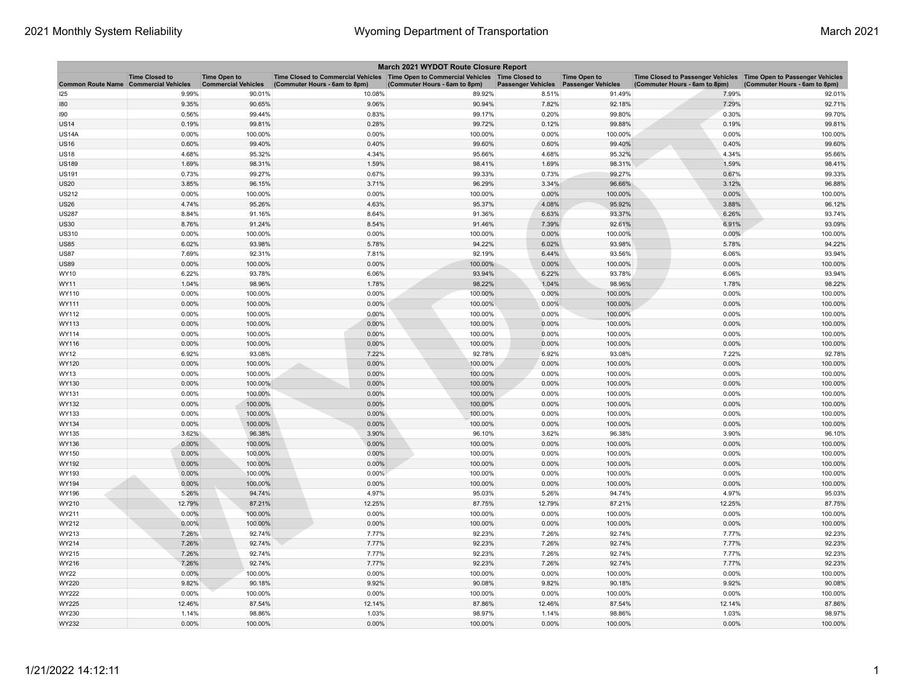| March 2021 WYDOT Route Closure Report        |                       |                                                   |                                                                                                                       |                               |                           |                                                  |                                                                                                      |                               |
|----------------------------------------------|-----------------------|---------------------------------------------------|-----------------------------------------------------------------------------------------------------------------------|-------------------------------|---------------------------|--------------------------------------------------|------------------------------------------------------------------------------------------------------|-------------------------------|
| <b>Common Route Name Commercial Vehicles</b> | <b>Time Closed to</b> | <b>Time Open to</b><br><b>Commercial Vehicles</b> | Time Closed to Commercial Vehicles  Time Open to Commercial Vehicles  Time Closed to<br>(Commuter Hours - 6am to 8pm) | (Commuter Hours - 6am to 8pm) | <b>Passenger Vehicles</b> | <b>Time Open to</b><br><b>Passenger Vehicles</b> | Time Closed to Passenger Vehicles   Time Open to Passenger Vehicles<br>(Commuter Hours - 6am to 8pm) | (Commuter Hours - 6am to 8pm) |
| 125                                          | 9.99%                 | 90.01%                                            | 10.08%                                                                                                                | 89.92%                        | 8.51%                     | 91.49%                                           | 7.99%                                                                                                | 92.01%                        |
| 180                                          | 9.35%                 | 90.65%                                            | 9.06%                                                                                                                 | 90.94%                        | 7.82%                     | 92.18%                                           | 7.29%                                                                                                | 92.71%                        |
| 190                                          | 0.56%                 | 99.44%                                            | 0.83%                                                                                                                 | 99.17%                        | 0.20%                     | 99.80%                                           | 0.30%                                                                                                | 99.70%                        |
| <b>US14</b>                                  | 0.19%                 | 99.81%                                            | 0.28%                                                                                                                 | 99.72%                        | 0.12%                     | 99.88%                                           | 0.19%                                                                                                | 99.81%                        |
| US14A                                        | 0.00%                 | 100.00%                                           | 0.00%                                                                                                                 | 100.00%                       | 0.00%                     | 100.00%                                          | 0.00%                                                                                                | 100.00%                       |
| <b>US16</b>                                  | 0.60%                 | 99.40%                                            | 0.40%                                                                                                                 | 99.60%                        | 0.60%                     | 99.40%                                           | 0.40%                                                                                                | 99.60%                        |
| US18                                         | 4.68%                 | 95.32%                                            | 4.34%                                                                                                                 | 95.66%                        | 4.68%                     | 95.32%                                           | 4.34%                                                                                                | 95.66%                        |
| US189                                        | 1.69%                 | 98.31%                                            | 1.59%                                                                                                                 | 98.41%                        | 1.69%                     | 98.31%                                           | 1.59%                                                                                                | 98.41%                        |
| US191                                        | 0.73%                 | 99.27%                                            | 0.67%                                                                                                                 | 99.33%                        | 0.73%                     | 99.27%                                           | 0.67%                                                                                                | 99.33%                        |
| <b>US20</b>                                  | 3.85%                 | 96.15%                                            | 3.71%                                                                                                                 | 96.29%                        | 3.34%                     | 96.66%                                           | 3.12%                                                                                                | 96.88%                        |
| US212                                        | 0.00%                 | 100.00%                                           | 0.00%                                                                                                                 | 100.00%                       | 0.00%                     | 100.00%                                          | 0.00%                                                                                                | 100.00%                       |
| <b>US26</b>                                  | 4.74%                 | 95.26%                                            | 4.63%                                                                                                                 | 95.37%                        | 4.08%                     | 95.92%                                           | 3.88%                                                                                                | 96.12%                        |
| <b>US287</b>                                 | 8.84%                 | 91.16%                                            | 8.64%                                                                                                                 | 91.36%                        | 6.63%                     | 93.37%                                           | 6.26%                                                                                                | 93.74%                        |
| <b>US30</b>                                  | 8.76%                 | 91.24%                                            | 8.54%                                                                                                                 | 91.46%                        | 7.39%                     | 92.61%                                           | 6.91%                                                                                                | 93.09%                        |
| US310                                        | 0.00%                 | 100.00%                                           | 0.00%                                                                                                                 | 100.00%                       | 0.00%                     | 100.00%                                          | 0.00%                                                                                                | 100.00%                       |
| <b>US85</b>                                  | 6.02%                 | 93.98%                                            | 5.78%                                                                                                                 | 94.22%                        | 6.02%                     | 93.98%                                           | 5.78%                                                                                                | 94.22%                        |
| <b>US87</b>                                  | 7.69%                 | 92.31%                                            | 7.81%                                                                                                                 | 92.19%                        | 6.44%                     | 93.56%                                           | 6.06%                                                                                                | 93.94%                        |
| <b>US89</b>                                  | 0.00%                 | 100.00%                                           | 0.00%                                                                                                                 | 100.00%                       | 0.00%                     | 100.00%                                          | 0.00%                                                                                                | 100.00%                       |
| WY10                                         | 6.22%                 | 93.78%                                            | 6.06%                                                                                                                 | 93.94%                        | 6.22%                     | 93.78%                                           | 6.06%                                                                                                | 93.94%                        |
| WY11<br>WY110                                | 1.04%                 | 98.96%                                            | 1.78%                                                                                                                 | 98.22%                        | 1.04%                     | 98.96%                                           | 1.78%                                                                                                | 98.22%                        |
|                                              | 0.00%                 | 100.00%                                           | 0.00%                                                                                                                 | 100.00%                       | 0.00%                     | 100.00%                                          | 0.00%                                                                                                | 100.00%                       |
| WY111                                        | 0.00%                 | 100.00%                                           | 0.00%                                                                                                                 | 100.00%                       | 0.00%                     | 100.00%                                          | 0.00%                                                                                                | 100.00%                       |
| WY112<br>WY113                               | 0.00%<br>0.00%        | 100.00%<br>100.00%                                | 0.00%<br>0.00%                                                                                                        | 100.00%<br>100.00%            | 0.00%<br>0.00%            | 100.00%<br>100.00%                               | 0.00%<br>0.00%                                                                                       | 100.00%<br>100.00%            |
| WY114                                        | 0.00%                 | 100.00%                                           | 0.00%                                                                                                                 | 100.00%                       | 0.00%                     | 100.00%                                          | 0.00%                                                                                                | 100.00%                       |
| WY116                                        | 0.00%                 | 100.00%                                           | 0.00%                                                                                                                 | 100.00%                       | 0.00%                     | 100.00%                                          | 0.00%                                                                                                | 100.00%                       |
| WY12                                         | 6.92%                 | 93.08%                                            | 7.22%                                                                                                                 | 92.78%                        | 6.92%                     | 93.08%                                           | 7.22%                                                                                                | 92.78%                        |
| WY120                                        | 0.00%                 | 100.00%                                           | 0.00%                                                                                                                 | 100.00%                       | 0.00%                     | 100.00%                                          | 0.00%                                                                                                | 100.00%                       |
| WY13                                         | 0.00%                 | 100.00%                                           | 0.00%                                                                                                                 | 100.00%                       | 0.00%                     | 100.00%                                          | 0.00%                                                                                                | 100.00%                       |
| WY130                                        | 0.00%                 | 100.00%                                           | 0.00%                                                                                                                 | 100.00%                       | 0.00%                     | 100.00%                                          | 0.00%                                                                                                | 100.00%                       |
| WY131                                        | 0.00%                 | 100.00%                                           | 0.00%                                                                                                                 | 100.00%                       | 0.00%                     | 100.00%                                          | 0.00%                                                                                                | 100.00%                       |
| WY132                                        | 0.00%                 | 100.00%                                           | 0.00%                                                                                                                 | 100.00%                       | 0.00%                     | 100.00%                                          | 0.00%                                                                                                | 100.00%                       |
| WY133                                        | 0.00%                 | 100.00%                                           | 0.00%                                                                                                                 | 100.00%                       | 0.00%                     | 100.00%                                          | 0.00%                                                                                                | 100.00%                       |
| WY134                                        | 0.00%                 | 100.00%                                           | 0.00%                                                                                                                 | 100.00%                       | 0.00%                     | 100.00%                                          | 0.00%                                                                                                | 100.00%                       |
| WY135                                        | 3.62%                 | 96.38%                                            | 3.90%                                                                                                                 | 96.10%                        | 3.62%                     | 96.38%                                           | 3.90%                                                                                                | 96.10%                        |
| WY136                                        | 0.00%                 | 100.00%                                           | 0.00%                                                                                                                 | 100.00%                       | 0.00%                     | 100.00%                                          | 0.00%                                                                                                | 100.00%                       |
| WY150                                        | 0.00%                 | 100.00%                                           | 0.00%                                                                                                                 | 100.00%                       | 0.00%                     | 100.00%                                          | 0.00%                                                                                                | 100.00%                       |
| <b>WY192</b>                                 | 0.00%                 | 100.00%                                           | 0.00%                                                                                                                 | 100.00%                       | 0.00%                     | 100.00%                                          | 0.00%                                                                                                | 100.00%                       |
| WY193                                        | 0.00%                 | 100.00%                                           | 0.00%                                                                                                                 | 100.00%                       | 0.00%                     | 100.00%                                          | 0.00%                                                                                                | 100.00%                       |
| WY194                                        | 0.00%                 | 100.00%                                           | 0.00%                                                                                                                 | 100.00%                       | 0.00%                     | 100.00%                                          | 0.00%                                                                                                | 100.00%                       |
| WY196                                        | 5.26%                 | 94.74%                                            | 4.97%                                                                                                                 | 95.03%                        | 5.26%                     | 94.74%                                           | 4.97%                                                                                                | 95.03%                        |
| WY210                                        | 12.79%                | 87.21%                                            | 12.25%                                                                                                                | 87.75%                        | 12.79%                    | 87.21%                                           | 12.25%                                                                                               | 87.75%                        |
| WY211                                        | 0.00%                 | 100.00%                                           | 0.00%                                                                                                                 | 100.00%                       | 0.00%                     | 100.00%                                          | 0.00%                                                                                                | 100.00%                       |
| WY212                                        | 0.00%                 | 100.00%                                           | 0.00%                                                                                                                 | 100.00%                       | 0.00%                     | 100.00%                                          | 0.00%                                                                                                | 100.00%                       |
| WY213                                        | 7.26%                 | 92.74%                                            | 7.77%                                                                                                                 | 92.23%                        | 7.26%                     | 92.74%                                           | 7.77%                                                                                                | 92.23%                        |
| WY214                                        | 7.26%                 | 92.74%                                            | 7.77%                                                                                                                 | 92.23%                        | 7.26%                     | 92.74%                                           | 7.77%                                                                                                | 92.23%                        |
| WY215                                        | 7.26%                 | 92.74%                                            | 7.77%                                                                                                                 | 92.23%                        | 7.26%                     | 92.74%                                           | 7.77%                                                                                                | 92.23%                        |
| WY216                                        | 7.26%                 | 92.74%                                            | 7.77%                                                                                                                 | 92.23%                        | 7.26%                     | 92.74%                                           | 7.77%                                                                                                | 92.23%                        |
| <b>WY22</b>                                  | 0.00%                 | 100.00%                                           | 0.00%                                                                                                                 | 100.00%                       | 0.00%                     | 100.00%                                          | 0.00%                                                                                                | 100.00%                       |
| WY220                                        | 9.82%                 | 90.18%                                            | 9.92%                                                                                                                 | 90.08%                        | 9.82%                     | 90.18%                                           | 9.92%                                                                                                | 90.08%                        |
| WY222                                        | 0.00%                 | 100.00%                                           | 0.00%                                                                                                                 | 100.00%                       | 0.00%                     | 100.00%                                          | 0.00%                                                                                                | 100.00%                       |
| <b>WY225</b>                                 | 12.46%                | 87.54%                                            | 12.14%                                                                                                                | 87.86%                        | 12.46%                    | 87.54%                                           | 12.14%                                                                                               | 87.86%                        |
| WY230                                        | 1.14%                 | 98.86%                                            | 1.03%                                                                                                                 | 98.97%                        | 1.14%                     | 98.86%                                           | 1.03%                                                                                                | 98.97%                        |
| WY232                                        | 0.00%                 | 100.00%                                           | 0.00%                                                                                                                 | 100.00%                       | 0.00%                     | 100.00%                                          | 0.00%                                                                                                | 100.00%                       |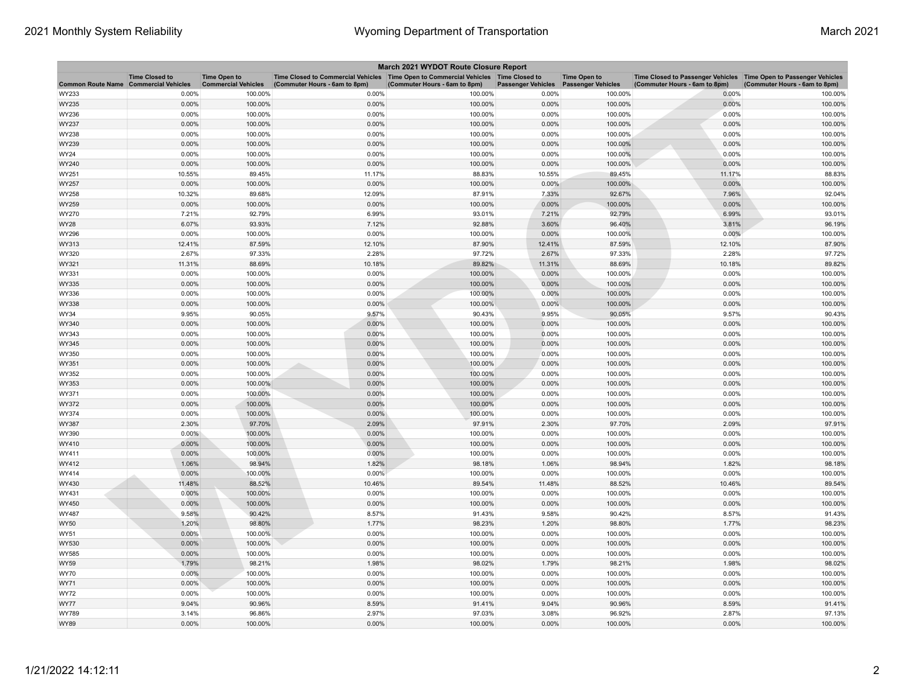|                                              | March 2021 WYDOT Route Closure Report |                                                   |                                                                                                                       |                               |                           |                                                  |                                                                                                      |                               |
|----------------------------------------------|---------------------------------------|---------------------------------------------------|-----------------------------------------------------------------------------------------------------------------------|-------------------------------|---------------------------|--------------------------------------------------|------------------------------------------------------------------------------------------------------|-------------------------------|
| <b>Common Route Name Commercial Vehicles</b> | <b>Time Closed to</b>                 | <b>Time Open to</b><br><b>Commercial Vehicles</b> | Time Closed to Commercial Vehicles  Time Open to Commercial Vehicles  Time Closed to<br>(Commuter Hours - 6am to 8pm) | (Commuter Hours - 6am to 8pm) | <b>Passenger Vehicles</b> | <b>Time Open to</b><br><b>Passenger Vehicles</b> | Time Closed to Passenger Vehicles   Time Open to Passenger Vehicles<br>(Commuter Hours - 6am to 8pm) | (Commuter Hours - 6am to 8pm) |
| WY233                                        | 0.00%                                 | 100.00%                                           | 0.00%                                                                                                                 | 100.00%                       | 0.00%                     | 100.00%                                          | 0.00%                                                                                                | 100.00%                       |
| WY235                                        | 0.00%                                 | 100.00%                                           | 0.00%                                                                                                                 | 100.00%                       | 0.00%                     | 100.00%                                          | 0.00%                                                                                                | 100.00%                       |
| WY236                                        | 0.00%                                 | 100.00%                                           | 0.00%                                                                                                                 | 100.00%                       | 0.00%                     | 100.00%                                          | 0.00%                                                                                                | 100.00%                       |
| WY237                                        | 0.00%                                 | 100.00%                                           | 0.00%                                                                                                                 | 100.00%                       | 0.00%                     | 100.00%                                          | 0.00%                                                                                                | 100.00%                       |
| WY238                                        | 0.00%                                 | 100.00%                                           | 0.00%                                                                                                                 | 100.00%                       | 0.00%                     | 100.00%                                          | 0.00%                                                                                                | 100.00%                       |
| WY239                                        | 0.00%                                 | 100.00%                                           | 0.00%                                                                                                                 | 100.00%                       | 0.00%                     | 100.00%                                          | 0.00%                                                                                                | 100.00%                       |
| WY24                                         | 0.00%                                 | 100.00%                                           | 0.00%                                                                                                                 | 100.00%                       | 0.00%                     | 100.00%                                          | 0.00%                                                                                                | 100.00%                       |
| WY240                                        | 0.00%                                 | 100.00%                                           | 0.00%                                                                                                                 | 100.00%                       | 0.00%                     | 100.00%                                          | 0.00%                                                                                                | 100.00%                       |
| WY251                                        | 10.55%                                | 89.45%                                            | 11.17%                                                                                                                | 88.83%                        | 10.55%                    | 89.45%                                           | 11.17%                                                                                               | 88.83%                        |
| WY257                                        | 0.00%                                 | 100.00%                                           | 0.00%                                                                                                                 | 100.00%                       | 0.00%                     | 100.00%                                          | 0.00%                                                                                                | 100.00%                       |
| WY258                                        | 10.32%                                | 89.68%                                            | 12.09%                                                                                                                | 87.91%                        | 7.33%                     | 92.67%                                           | 7.96%                                                                                                | 92.04%                        |
| WY259                                        | 0.00%                                 | 100.00%                                           | 0.00%                                                                                                                 | 100.00%                       | 0.00%                     | 100.00%                                          | 0.00%                                                                                                | 100.00%                       |
| WY270                                        | 7.21%                                 | 92.79%                                            | 6.99%                                                                                                                 | 93.01%                        | 7.21%                     | 92.79%                                           | 6.99%                                                                                                | 93.01%                        |
| WY28                                         | 6.07%                                 | 93.93%                                            | 7.12%                                                                                                                 | 92.88%                        | 3.60%                     | 96.40%                                           | 3.81%                                                                                                | 96.19%                        |
| WY296                                        | 0.00%                                 | 100.00%                                           | 0.00%                                                                                                                 | 100.00%                       | 0.00%                     | 100.00%                                          | 0.00%                                                                                                | 100.00%                       |
| WY313                                        | 12.41%                                | 87.59%                                            | 12.10%                                                                                                                | 87.90%                        | 12.41%                    | 87.59%                                           | 12.10%                                                                                               | 87.90%                        |
| WY320                                        | 2.67%                                 | 97.33%                                            | 2.28%                                                                                                                 | 97.72%                        | 2.67%                     | 97.33%                                           | 2.28%                                                                                                | 97.72%                        |
| WY321                                        | 11.31%                                | 88.69%                                            | 10.18%                                                                                                                | 89.82%                        | 11.31%                    | 88.69%                                           | 10.18%                                                                                               | 89.82%                        |
| WY331                                        | 0.00%                                 | 100.00%                                           | 0.00%                                                                                                                 | 100.00%                       | 0.00%                     | 100.00%                                          | 0.00%                                                                                                | 100.00%                       |
| WY335                                        | 0.00%                                 | 100.00%                                           | 0.00%                                                                                                                 | 100.00%                       | 0.00%                     | 100.00%                                          | 0.00%                                                                                                | 100.00%                       |
| WY336                                        | 0.00%                                 | 100.00%                                           | 0.00%                                                                                                                 | 100.00%                       | 0.00%                     | 100.00%                                          | 0.00%                                                                                                | 100.00%                       |
| WY338                                        | 0.00%                                 | 100.00%                                           | 0.00%                                                                                                                 | 100.00%                       | 0.00%                     | 100.00%                                          | 0.00%                                                                                                | 100.00%                       |
| WY34                                         | 9.95%                                 | 90.05%                                            | 9.57%                                                                                                                 | 90.43%                        | 9.95%                     | 90.05%                                           | 9.57%                                                                                                | 90.43%                        |
| WY340                                        | 0.00%                                 | 100.00%                                           | 0.00%                                                                                                                 | 100.00%                       | 0.00%                     | 100.00%                                          | 0.00%                                                                                                | 100.00%                       |
| WY343                                        | 0.00%                                 | 100.00%                                           | 0.00%                                                                                                                 | 100.00%                       | 0.00%                     | 100.00%                                          | 0.00%                                                                                                | 100.00%                       |
| WY345                                        | 0.00%                                 | 100.00%                                           | 0.00%                                                                                                                 | 100.00%                       | 0.00%                     | 100.00%                                          | 0.00%                                                                                                | 100.00%                       |
| WY350                                        | 0.00%                                 | 100.00%                                           | 0.00%                                                                                                                 | 100.00%                       | 0.00%                     | 100.00%                                          | 0.00%                                                                                                | 100.00%                       |
| WY351                                        | 0.00%                                 | 100.00%                                           | 0.00%                                                                                                                 | 100.00%                       | 0.00%                     | 100.00%                                          | 0.00%                                                                                                | 100.00%                       |
| WY352                                        | 0.00%                                 | 100.00%                                           | 0.00%                                                                                                                 | 100.00%                       | 0.00%                     | 100.00%                                          | 0.00%                                                                                                | 100.00%                       |
| WY353                                        | 0.00%                                 | 100.00%                                           | 0.00%                                                                                                                 | 100.00%                       | 0.00%                     | 100.00%                                          | 0.00%                                                                                                | 100.00%                       |
| WY371                                        | 0.00%                                 | 100.00%                                           | 0.00%                                                                                                                 | 100.00%                       | 0.00%                     | 100.00%                                          | 0.00%                                                                                                | 100.00%                       |
| WY372                                        | 0.00%                                 | 100.00%                                           | 0.00%                                                                                                                 | 100.00%                       | 0.00%                     | 100.00%                                          | 0.00%                                                                                                | 100.00%                       |
| WY374                                        | 0.00%                                 | 100.00%                                           | 0.00%                                                                                                                 | 100.00%                       | 0.00%                     | 100.00%                                          | 0.00%                                                                                                | 100.00%                       |
| WY387                                        | 2.30%                                 | 97.70%                                            | 2.09%                                                                                                                 | 97.91%                        | 2.30%                     | 97.70%                                           | 2.09%                                                                                                | 97.91%                        |
| WY390                                        | $0.00\%$                              | 100.00%                                           | 0.00%                                                                                                                 | 100.00%                       | 0.00%                     | 100.00%                                          | 0.00%                                                                                                | 100.00%                       |
| WY410                                        | 0.00%                                 | 100.00%                                           | 0.00%                                                                                                                 | 100.00%                       | 0.00%                     | 100.00%                                          | 0.00%                                                                                                | 100.00%                       |
| WY411                                        | 0.00%                                 | 100.00%                                           | 0.00%                                                                                                                 | 100.00%                       | 0.00%                     | 100.00%                                          | 0.00%                                                                                                | 100.00%                       |
| WY412                                        | 1.06%                                 | 98.94%                                            | 1.82%                                                                                                                 | 98.18%                        | 1.06%                     | 98.94%                                           | 1.82%                                                                                                | 98.18%                        |
| WY414                                        | 0.00%                                 | 100.00%                                           | 0.00%                                                                                                                 | 100.00%                       | 0.00%                     | 100.00%                                          | 0.00%                                                                                                | 100.00%                       |
| WY430                                        | 11.48%                                | 88.52%                                            | 10.46%                                                                                                                | 89.54%                        | 11.48%                    | 88.52%                                           | 10.46%                                                                                               | 89.54%                        |
| WY431                                        | 0.00%                                 | 100.00%                                           | 0.00%                                                                                                                 | 100.00%                       | 0.00%                     | 100.00%                                          | 0.00%                                                                                                | 100.00%                       |
| WY450                                        | 0.00%                                 | 100.00%                                           | 0.00%                                                                                                                 | 100.00%                       | 0.00%                     | 100.00%                                          | 0.00%                                                                                                | 100.00%                       |
| WY487                                        | 9.58%                                 | 90.42%                                            | 8.57%                                                                                                                 | 91.43%                        | 9.58%                     | 90.42%                                           | 8.57%                                                                                                | 91.43%                        |
| WY50                                         | 1.20%                                 | 98.80%                                            | 1.77%                                                                                                                 | 98.23%                        | 1.20%                     | 98.80%                                           | 1.77%                                                                                                | 98.23%                        |
| WY51                                         | 0.00%                                 | 100.00%                                           | 0.00%                                                                                                                 | 100.00%                       | 0.00%                     | 100.00%                                          | 0.00%                                                                                                | 100.00%                       |
| WY530                                        | 0.00%                                 | 100.00%                                           | 0.00%                                                                                                                 | 100.00%                       | 0.00%                     | 100.00%                                          | 0.00%                                                                                                | 100.00%                       |
| WY585                                        | 0.00%                                 | 100.00%                                           | 0.00%                                                                                                                 | 100.00%                       | 0.00%                     | 100.00%                                          | 0.00%                                                                                                | 100.00%                       |
| WY59                                         | 1.79%                                 | 98.21%                                            | 1.98%                                                                                                                 | 98.02%                        | 1.79%                     | 98.21%                                           | 1.98%                                                                                                | 98.02%                        |
| WY70                                         | 0.00%                                 | 100.00%                                           | 0.00%                                                                                                                 | 100.00%                       | 0.00%                     | 100.00%                                          | 0.00%                                                                                                | 100.00%                       |
| WY71                                         | 0.00%                                 | 100.00%                                           | 0.00%                                                                                                                 | 100.00%                       | 0.00%                     | 100.00%                                          | 0.00%                                                                                                | 100.00%                       |
| WY72                                         | 0.00%                                 | 100.00%                                           | 0.00%                                                                                                                 | 100.00%                       | 0.00%                     | 100.00%                                          | 0.00%                                                                                                | 100.00%                       |
| <b>WY77</b>                                  | 9.04%                                 | 90.96%                                            | 8.59%                                                                                                                 | 91.41%                        | 9.04%                     | 90.96%                                           | 8.59%                                                                                                | 91.41%                        |
| WY789                                        | 3.14%                                 | 96.86%                                            | 2.97%                                                                                                                 | 97.03%                        | 3.08%                     | 96.92%                                           | 2.87%                                                                                                | 97.13%                        |
| WY89                                         | 0.00%                                 | 100.00%                                           | 0.00%                                                                                                                 | 100.00%                       | 0.00%                     | 100.00%                                          | 0.00%                                                                                                | 100.00%                       |